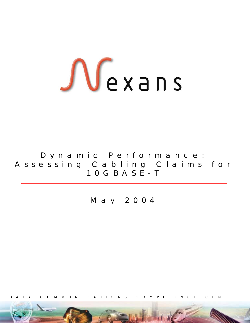# $\int\int e x$  ans

Dynamic Performance: Assessing Cabling Claims for 10GBASE-T

May 2004

TA COMMUNICATIONS COMPETENCE CENTER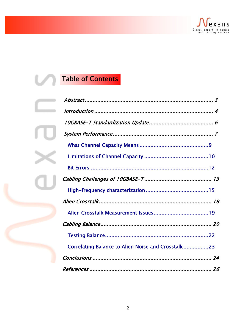

# Table of Contents

| Correlating Balance to Alien Noise and Crosstalk23 |  |
|----------------------------------------------------|--|
|                                                    |  |
|                                                    |  |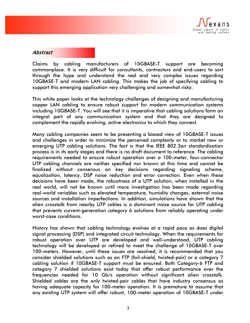

### Abstract

Claims by cabling manufacturers of 10GBASE-T support are becoming commonplace. It is very difficult for consultants, contractors and end-users to sort through the hype and understand the real and very complex issues regarding 10GBASE-T and modern LAN cabling. This makes the job of specifying cabling to support this emerging application very challenging and somewhat risky.

This white paper looks at the technology challenges of designing and manufacturing copper LAN cabling to ensure robust support for modern communication systems including 10GBASE-T. You will see that it is imperative that cabling solutions form an integral part of any communication system and that they are designed to complement the rapidly evolving, active electronics to which they connect.

Many cabling companies seem to be presenting a biased view of 10GBASE-T issues and challenges in order to minimize the perceived complexity or to market new or emerging UTP cabling solutions. The fact is that the IEEE 802.3an standardization process is in its early stages and there is no draft document to reference. The cabling requirements needed to ensure robust operation over a 100-meter, four-connector UTP cabling channels are neither specified nor known at this time and cannot be finalized without consensus on key decisions regarding signaling scheme, equalization, latency, DSP noise reduction and error correction. Even when these decisions have been made, the robustness of a UTP solution, when installed in the real world, will not be known until more investigation has been made regarding real-world variables such as elevated temperature, humidity changes, external noise sources and installation imperfections. In addition, simulations have shown that the alien crosstalk from nearby UTP cables is a dominant noise source for UTP cabling that prevents current-generation category 6 solutions from reliably operating under worst-case conditions.

History has shown that cabling technology evolves at a rapid pace as does digital signal processing (DSP) and integrated circuit technology. When the requirements for robust operation over UTP are developed and well-understood, UTP cabling technology will be developed or refined to meet the challenge of 10GBASE-T over 100-meters. However, until these issues are resolved, it is recommended that you consider shielded solutions such as an FTP (foil-shield, twisted-pair) or a category 7 cabling solution if 10GBASE-T support must be ensured. Both Category-6 FTP and category 7 shielded solutions exist today that offer robust performance over the frequencies needed for 10 Gb/s operation without significant alien crosstalk. Shielded cables are the only twisted-pair cables that have industry consensus as having adequate capacity for 100-meter operation. It is premature to assume that any existing UTP system will offer robust, 100-meter operation of 10GBASE-T under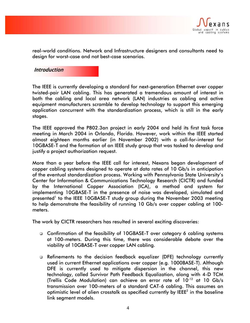

real-world conditions. Network and Infrastructure designers and consultants need to design for worst-case and not best-case scenarios.

#### **Introduction**

The IEEE is currently developing a standard for next-generation Ethernet over copper twisted-pair LAN cabling. This has generated a tremendous amount of interest in both the cabling and local area network (LAN) industries as cabling and active equipment manufacturers scramble to develop technology to support this emerging application concurrent with the standardization process, which is still in the early stages.

The IEEE approved the P802.3an project in early 2004 and held its first task force meeting in March 2004 in Orlando, Florida. However, work within the IEEE started almost eighteen months earlier (in November 2002) with a call-for-interest for 10GBASE-T and the formation of an IEEE study group that was tasked to develop and justify a project authorization request.

More than a year before the IEEE call for interest, Nexans began development of copper cabling systems designed to operate at data rates of 10 Gb/s in anticipation of the eventual standardization process. Working with Pennsylvania State University's Center for Information & Communications Technology Research (CICTR) and funded by the International Copper Association (ICA), a method and system for implementing 10GBASE-T in the presence of noise was developed, simulated and presented<sup>1</sup> to the IEEE 10GBASE-T study group during the November 2003 meeting to help demonstrate the feasibility of running 10 Gb/s over copper cabling at 100 meters.

The work by CICTR researchers has resulted in several exciting discoveries:

- Confirmation of the feasibility of 10GBASE-T over category 6 cabling systems at 100-meters. During this time, there was considerable debate over the viability of 10GBASE-T over copper LAN cabling.
- Refinements to the decision feedback equalizer (DFE) technology currently used in current Ethernet applications over copper (e.g. 1000BASE-T). Although DFE is currently used to mitigate dispersion in the channel, this new technology, called Survivor Path Feedback Equalization, along with 4-D TCM (Trellis Code Modulation) can achieve an error rate of 10-12 at 10 Gb/s transmission over 100-meters of a standard CAT-6 cabling. This assumes an optimistic level of alien crosstalk as specified currently by IEEE $^2$  in the baseline link segment models.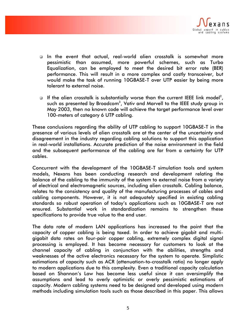

- In the event that actual, real-world alien crosstalk is somewhat more pessimistic than assumed, more powerful schemes, such as Turbo Equalization, can be employed to meet the desired bit error rate (BER) performance. This will result in a more complex and costly transceiver, but would make the task of running 10GBASE-T over UTP easier by being more tolerant to external noise.
- $\Box$  If the alien crosstalk is substantially worse than the current IEEE link model<sup>2</sup>, such as presented by Broadcom $^3$ , Vativ and Marvell to the IEEE study group in May 2003, then no known code will achieve the target performance level over 100-meters of category 6 UTP cabling.

These conclusions regarding the ability of UTP cabling to support 10GBASE-T in the presence of various levels of alien crosstalk are at the center of the uncertainty and disagreement in the industry regarding cabling solutions to support this application in real-world installations. Accurate prediction of the noise environment in the field and the subsequent performance of the cabling are far from a certainty for UTP cables.

Concurrent with the development of the 10GBASE-T simulation tools and system models, Nexans has been conducting research and development relating the balance of the cabling to the immunity of the system to external noise from a variety of electrical and electromagnetic sources, including alien crosstalk. Cabling balance, relates to the consistency and quality of the manufacturing processes of cables and cabling components. However, it is not adequately specified in existing cabling standards so robust operation of today's applications such as 10GBASE-T are not ensured. Substantial work in standardization remains to strengthen these specifications to provide true value to the end user.

The data rate of modern LAN applications has increased to the point that the capacity of copper cabling is being taxed. In order to achieve gigabit and multigigabit data rates on four-pair copper cabling, extremely complex digital signal processing is employed. It has become necessary for customers to look at the channel capacity of cabling in conjunction with the abilities, strengths and weaknesses of the active electronics necessary for the system to operate. Simplistic estimations of capacity such as ACR (attenuation-to-crosstalk ratio) no longer apply to modern applications due to this complexity. Even a traditional capacity calculation based on Shannon's Law has become less useful since it can oversimplify the assumptions and lead to overly optimistic or overly pessimistic estimations of capacity. Modern cabling systems need to be designed and developed using modern methods including simulation tools such as those described in this paper. This allows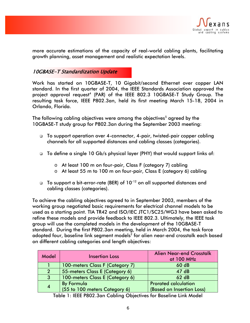

more accurate estimations of the capacity of real-world cabling plants, facilitating growth planning, asset management and realistic expectation levels.

# 10GBASE-T Standardization Update

Work has started on 10GBASE-T, 10 Gigabit/second Ethernet over copper LAN standard. In the first quarter of 2004, the IEEE Standards Association approved the project approval request<sup>4</sup> (PAR) of the IEEE 802.3 10GBASE-T Study Group. The resulting task force, IEEE P802.3an, held its first meeting March 15-18, 2004 in Orlando, Florida.

The following cabling objectives were among the objectives $^5$  agreed by the 10GBASE-T study group for P802.3an during the September 2003 meeting:

- To support operation over 4-connector, 4-pair, twisted-pair copper cabling channels for all supported distances and cabling classes (categories).
- □ To define a single 10 Gb/s physical layer (PHY) that would support links of:
	- o At least 100 m on four-pair, Class F (category 7) cabling
	- o At least 55 m to 100 m on four-pair, Class E (category 6) cabling
- $\Box$  To support a bit-error-rate (BER) of  $10^{-12}$  on all supported distances and cabling classes (categories).

To achieve the cabling objectives agreed to in September 2003, members of the working group negotiated basic requirements for electrical channel models to be used as a starting point. TIA TR42 and ISO/IEC JTC1/SC25/WG3 have been asked to refine these models and provide feedback to IEEE 802.3. Ultimately, the IEEE task group will use the completed models in the development of the 10GBASE-T standard. During the first P802.3an meeting, held in March 2004, the task force adopted four, baseline link segment models $^2$  for alien near-end crosstalk each based on different cabling categories and length objectives:

| <b>Model</b>  | <b>Insertion Loss</b>           | <b>Alien Near-end Crosstalk</b><br>at 100 MHz |
|---------------|---------------------------------|-----------------------------------------------|
|               | 100-meters Class F (Category 7) | 60 dB                                         |
| $\mathcal{P}$ | 55-meters Class E (Category 6)  | 47dB                                          |
| 3             | 100-meters Class E (Category 6) | 62 dB                                         |
| 4             | <b>By Formula</b>               | <b>Prorated calculation</b>                   |
|               | (55 to 100 meters Category 6)   | (Based on Insertion Loss)                     |

Table 1: IEEE P802.3an Cabling Objectives for Baseline Link Model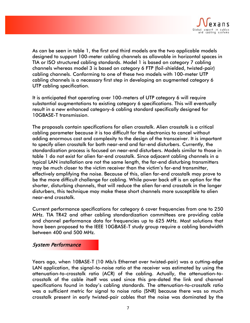

As can be seen in table 1, the first and third models are the two applicable models designed to support 100-meter cabling channels as allowable in horizontal spaces in TIA or ISO structured cabling standards. Model 1 is based on category 7 cabling channels whereas model 3 is based on category 6 FTP (foil-shielded, twisted-pair) cabling channels. Conforming to one of these two models with 100-meter UTP cabling channels is a necessary first step in developing an augmented category 6 UTP cabling specification.

It is anticipated that operating over 100-meters of UTP category 6 will require substantial augmentations to existing category 6 specifications. This will eventually result in a new enhanced category-6 cabling standard specifically designed for 10GBASE-T transmission.

The proposals contain specifications for alien crosstalk. Alien crosstalk is a critical cabling parameter because it is too difficult for the electronics to cancel without adding enormous cost and complexity to the design of the transceiver. It is important to specify alien crosstalk for both near-end and far-end disturbers. Currently, the standardization process is focused on near-end disturbers. Models similar to those in table 1 do not exist for alien far-end crosstalk. Since adjacent cabling channels in a typical LAN installation are not the same length, the far-end disturbing transmitters may be much closer to the victim receiver than the victim's far-end transmitter, effectively amplifying the noise. Because of this, alien far-end crosstalk may prove to be the more difficult challenge for cabling. While power back off is an option for the shorter, disturbing channels, that will reduce the alien far-end crosstalk in the longer disturbers, this technique may make these short channels more susceptible to alien near-end crosstalk.

Current performance specifications for category 6 cover frequencies from one to 250 MHz. TIA TR42 and other cabling standardization committees are providing cable and channel performance data for frequencies up to 625 MHz. Most solutions that have been proposed to the IEEE 10GBASE-T study group require a cabling bandwidth between 400 and 500 MHz.

#### System Performance

Years ago, when 10BASE-T (10 Mb/s Ethernet over twisted-pair) was a cutting-edge LAN application, the signal-to-noise ratio at the receiver was estimated by using the attenuation-to-crosstalk ratio (ACR) of the cabling. Actually, the attenuation-tocrosstalk of the cable itself was used since this pre-dated the link and channel specifications found in today's cabling standards. The attenuation-to-crosstalk ratio was a sufficient metric for signal to noise ratio (SNR) because there was so much crosstalk present in early twisted-pair cables that the noise was dominated by the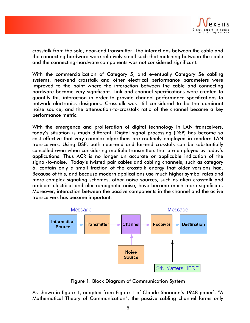

crosstalk from the sole, near-end transmitter. The interactions between the cable and the connecting hardware were relatively small such that matching between the cable and the connecting-hardware components was not considered significant.

With the commercialization of Category 5, and eventually Category 5e cabling systems, near-end crosstalk and other electrical performance parameters were improved to the point where the interaction between the cable and connecting hardware became very significant. Link and channel specifications were created to quantify this interaction in order to provide channel performance specifications to network electronics designers. Crosstalk was still considered to be the dominant noise source, and the attenuation-to-crosstalk ratio of the channel became a key performance metric.

With the emergence and proliferation of digital technology in LAN transceivers, today's situation is much different. Digital signal processing (DSP) has become so cost effective that very complex algorithms are routinely employed in modern LAN transceivers. Using DSP, both near-end and far-end crosstalk can be substantially cancelled even when considering multiple transmitters that are employed by today's applications. Thus ACR is no longer an accurate or applicable indication of the signal-to-noise. Today's twisted pair cables and cabling channels, such as category 6, contain only a small fraction of the crosstalk energy that older versions had. Because of this, and because modern applications use much higher symbol rates and more complex signaling schemes, other noise sources, such as alien crosstalk and ambient electrical and electromagnetic noise, have become much more significant. Moreover, interaction between the passive components in the channel and the active transceivers has become important.



Figure 1: Block Diagram of Communication System

As shown in figure 1, adapted from Figure 1 of Claude Shannon's 1948 paper<sup>6</sup>, "A Mathematical Theory of Communication", the passive cabling channel forms only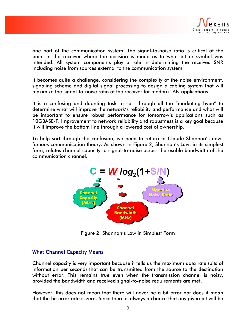

one part of the communication system. The signal-to-noise ratio is critical at the point in the receiver where the decision is made as to what bit or symbol was intended. All system components play a role in determining the received SNR including noise from sources external to the communication system.

It becomes quite a challenge, considering the complexity of the noise environment, signaling scheme and digital signal processing to design a cabling system that will maximize the signal-to-noise ratio at the receiver for modern LAN applications.

It is a confusing and daunting task to sort through all the "marketing hype" to determine what will improve the network's reliability and performance and what will be important to ensure robust performance for tomorrow's applications such as 10GBASE-T. Improvement to network reliability and robustness is a key goal because it will improve the bottom line through a lowered cost of ownership.

To help sort through the confusion, we need to return to Claude Shannon's nowfamous communication theory. As shown in Figure 2, Shannon's Law, in its simplest form, relates channel capacity to signal-to-noise across the usable bandwidth of the communication channel.



Figure 2: Shannon's Law in Simplest Form

#### What Channel Capacity Means

Channel capacity is very important because it tells us the maximum data rate (bits of information per second) that can be transmitted from the source to the destination without error. This remains true even when the transmission channel is noisy, provided the bandwidth and received signal-to-noise requirements are met.

However, this does not mean that there will never be a bit error nor does it mean that the bit error rate is zero. Since there is always a chance that any given bit will be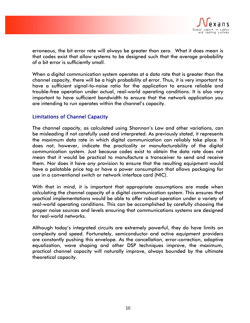

erroneous, the bit error rate will always be greater than zero. What it does mean is that codes exist that allow systems to be designed such that the average probability of a bit error is sufficiently small.

When a digital communication system operates at a data rate that is greater than the channel capacity, there will be a high probability of error. Thus, it is very important to have a sufficient signal-to-noise ratio for the application to ensure reliable and trouble-free operation under actual, real-world operating conditions. It is also very important to have sufficient bandwidth to ensure that the network application you are intending to run operates within the channel's capacity.

# Limitations of Channel Capacity

The channel capacity, as calculated using Shannon's Law and other variations, can be misleading if not carefully used and interpreted. As previously stated, it represents the maximum data rate in which digital communication can reliably take place. It does not, however, indicate the practicality or manufacturability of the digital communication system. Just because codes exist to obtain the data rate does not mean that it would be practical to manufacture a transceiver to send and receive them. Nor does it have any provision to ensure that the resulting equipment would have a palatable price tag or have a power consumption that allows packaging for use in a conventional switch or network interface card (NIC).

With that in mind, it is important that appropriate assumptions are made when calculating the channel capacity of a digital communication system. This ensures that practical implementations would be able to offer robust operation under a variety of real-world operating conditions. This can be accomplished by carefully choosing the proper noise sources and levels ensuring that communications systems are designed for real-world networks.

Although today's integrated circuits are extremely powerful, they do have limits on complexity and speed. Fortunately, semiconductor and active equipment providers are constantly pushing this envelope. As the cancellation, error-correction, adaptive equalization, wave shaping and other DSP techniques improve, the maximum, practical channel capacity will naturally improve, always bounded by the ultimate theoretical capacity.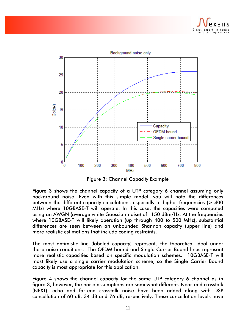



Figure 3: Channel Capacity Example

Figure 3 shows the channel capacity of a UTP category 6 channel assuming only background noise. Even with this simple model, you will note the differences between the different capacity calculations, especially at higher frequencies (> 400 MHz) where 10GBASE-T will operate. In this case, the capacities were computed using an AWGN (average white Gaussian noise) of –150 dBm/Hz. At the frequencies where 10GBASE-T will likely operation (up through 400 to 500 MHz), substantial differences are seen between an unbounded Shannon capacity (upper line) and more realistic estimations that include coding restraints.

The most optimistic line (labeled capacity) represents the theoretical ideal under these noise conditions. The OFDM bound and Single Carrier Bound lines represent more realistic capacities based on specific modulation schemes. 10GBASE-T will most likely use a single carrier modulation scheme, so the Single Carrier Bound capacity is most appropriate for this application.

Figure 4 shows the channel capacity for the same UTP category 6 channel as in figure 3, however, the noise assumptions are somewhat different. Near-end crosstalk (NEXT), echo and far-end crosstalk noise have been added along with DSP cancellation of 60 dB, 34 dB and 76 dB, respectively. These cancellation levels have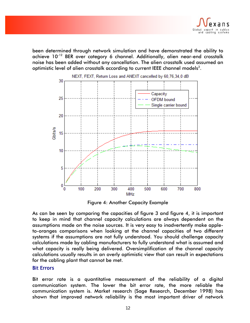

been determined through network simulation and have demonstrated the ability to achieve 10-12 BER over category 6 channel. Additionally, alien near-end crosstalk noise has been added without any cancellation. The alien crosstalk used assumed an optimistic level of alien crosstalk according to current IEEE channel models<sup>2</sup>.



Figure 4: Another Capacity Example

As can be seen by comparing the capacities of figure 3 and figure 4, it is important to keep in mind that channel capacity calculations are always dependent on the assumptions made on the noise sources. It is very easy to inadvertently make appleto-oranges comparisons when looking at the channel capacities of two different systems if the assumptions are not fully understood. You should challenge capacity calculations made by cabling manufacturers to fully understand what is assumed and what capacity is really being delivered. Oversimplification of the channel capacity calculations usually results in an overly optimistic view that can result in expectations for the cabling plant that cannot be met.

#### Bit Errors

Bit error rate is a quantitative measurement of the reliability of a digital communication system. The lower the bit error rate, the more reliable the communication system is. Market research (Sage Research, December 1998) has shown that improved network reliability is the most important driver of network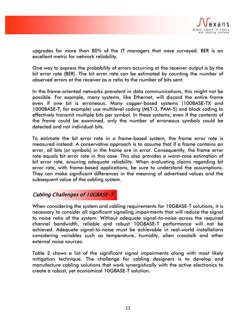

upgrades for more than 80% of the IT managers that were surveyed. BER is an excellent metric for network reliability.

One way to express the probability of errors occurring at the receiver output is by the bit error rate (BER). The bit error rate can be estimated by counting the number of observed errors at the receiver as a ratio to the number of bits sent.

In the frame-oriented networks prevalent in data communications, this might not be possible. For example, many systems, like Ethernet, will discard the entire frame even if one bit is erroneous. Many copper-based systems (100BASE-TX and 1000BASE-T, for example) use multilevel coding (MLT-3, PAM-5) and block coding to effectively transmit multiple bits per symbol. In these systems, even if the contents of the frame could be examined, only the number of erroneous symbols could be detected and not individual bits.

To estimate the bit error rate in a frame-based system, the frame error rate is measured instead. A conservative approach is to assume that if a frame contains an error, all bits (or symbols) in the frame are in error. Consequently, the frame error rate equals bit error rate in this case. This also provides a worst-case estimation of bit error rate, ensuring adequate reliability. When evaluating claims regarding bit error rate, with frame-based applications, be sure to understand the assumptions. They can make significant differences in the meaning of advertised values and the subsequent value of the cabling system.

# Cabling Challenges of 10GBASE-T

When considering the system and cabling requirements for 10GBASE-T solutions, it is necessary to consider all significant signaling impairments that will reduce the signal to noise ratio of the system. Without adequate signal-to-noise across the required channel bandwidth, reliable and robust 10GBASE-T performance will not be achieved. Adequate signal-to-noise must be achievable in real-world installations considering variables such as temperature, humidity, alien crosstalk and other external noise sources.

Table 2 shows a list of the significant signal impairments along with most likely mitigation technique. The challenge for cabling designers is to develop and manufacture cabling solutions that work synergistically with the active electronics to create a robust, yet economical 10GBASE-T solution.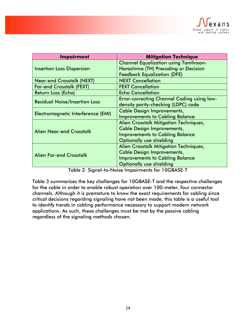

| <b>Impairment</b>                         | <b>Mitigation Technique</b>                       |
|-------------------------------------------|---------------------------------------------------|
|                                           | <b>Channel Equalization using Tomlinson-</b>      |
| <b>Insertion Loss Dispersion</b>          | Harashima (TH) Precoding or Decision              |
|                                           | <b>Feedback Equalization (DFE)</b>                |
| <b>Near-end Crosstalk (NEXT)</b>          | <b>NEXT Cancellation</b>                          |
| <b>Far-end Crosstalk (FEXT)</b>           | <b>FEXT Cancellation</b>                          |
| Return Loss (Echo)                        | <b>Echo Cancellation</b>                          |
| <b>Residual Noise/Insertion Loss</b>      | <b>Error-correcting Channel Coding using low-</b> |
|                                           | density parity-checking (LDPC) code               |
| <b>Electromagnetic Interference (EMI)</b> | <b>Cable Design Improvements,</b>                 |
|                                           | <b>Improvements to Cabling Balance</b>            |
|                                           | Alien Crosstalk Mitigation Techniques,            |
| <b>Alien Near-end Crosstalk</b>           | <b>Cable Design Improvements,</b>                 |
|                                           | <b>Improvements to Cabling Balance</b>            |
|                                           | <b>Optionally use shielding</b>                   |
| <b>Alien Far-end Crosstalk</b>            | Alien Crosstalk Mitigation Techniques,            |
|                                           | <b>Cable Design Improvements,</b>                 |
|                                           | <b>Improvements to Cabling Balance</b>            |
|                                           | <b>Optionally use shielding</b>                   |

Table 2: Signal-to-Noise Impairments for 10GBASE-T

Table 3 summarizes the key challenges for 10GBASE-T and the respective challenges for the cable in order to enable robust operation over 100-meter, four connector channels. Although it is premature to know the exact requirements for cabling since critical decisions regarding signaling have not been made, this table is a useful tool to identify trends in cabling performance necessary to support modern network applications. As such, these challenges must be met by the passive cabling regardless of the signaling methods chosen.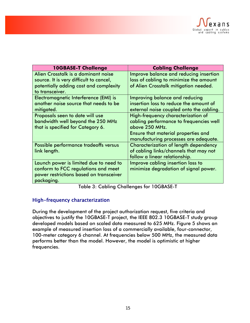

| <b>10GBASE-T Challenge</b>              | <b>Cabling Challenge</b>                   |
|-----------------------------------------|--------------------------------------------|
| Alien Crosstalk is a dominant noise     | Improve balance and reducing insertion     |
| source. It is very difficult to cancel, | loss of cabling to minimize the amount     |
| potentially adding cost and complexity  | of Alien Crosstalk mitigation needed.      |
| to transceiver.                         |                                            |
| Electromagnetic Interference (EMI) is   | Improving balance and reducing             |
| another noise source that needs to be   | insertion loss to reduce the amount of     |
| mitigated.                              | external noise coupled onto the cabling.   |
| Proposals seen to date will use         | High-frequency characterization of         |
| bandwidth well beyond the 250 MHz       | cabling performance to frequencies well    |
| that is specified for Category 6.       | above 250 MHz.                             |
|                                         | <b>Ensure that material properties and</b> |
|                                         | manufacturing processes are adequate.      |
| Possible performance tradeoffs versus   | Characterization of length dependency      |
| link length.                            | of cabling links/channels that may not     |
|                                         | follow a linear relationship.              |
| Launch power is limited due to need to  | Improve cabling insertion loss to          |
| conform to FCC regulations and meet     | minimize degradation of signal power.      |
| power restrictions based on transceiver |                                            |
| packaging.                              |                                            |

Table 3: Cabling Challenges for 10GBASE-T

# High-frequency characterization

During the development of the project authorization request, five criteria and objectives to justify the 10GBASE-T project, the IEEE 802.3 10GBASE-T study group developed models based on scaled data measured to 625 MHz. Figure 5 shows an example of measured insertion loss of a commercially available, four-connector, 100-meter category 6 channel. At frequencies below 500 MHz, the measured data performs better than the model. However, the model is optimistic at higher frequencies.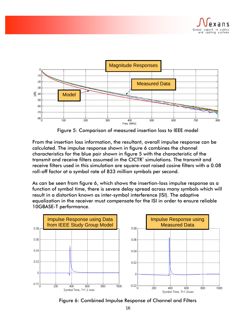



Figure 5: Comparison of measured insertion loss to IEEE model

From the insertion loss information, the resultant, overall impulse response can be calculated. The impulse response shown in figure 6 combines the channel characteristics for the blue pair shown in figure 5 with the characteristic of the transmit and receive filters assumed in the CICTR $^{\rm l}$  simulations. The transmit and receive filters used in this simulation are square-root raised cosine filters with a 0.08 roll-off factor at a symbol rate of 833 million symbols per second.

As can be seen from figure 6, which shows the insertion-loss impulse response as a function of symbol time, there is severe delay spread across many symbols which will result in a distortion known as inter-symbol interference (ISI). The adaptive equalization in the receiver must compensate for the ISI in order to ensure reliable 10GBASE-T performance.



Figure 6: Combined Impulse Response of Channel and Filters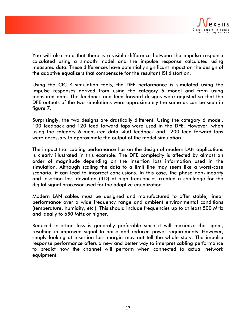

You will also note that there is a visible difference between the impulse response calculated using a smooth model and the impulse response calculated using measured data. These differences have potentially significant impact on the design of the adaptive equalizers that compensate for the resultant ISI distortion.

Using the CICTR simulation tools, the DFE performance is simulated using the impulse responses derived from using the category 6 model and from using measured data. The feedback and feed-forward designs were adjusted so that the DFE outputs of the two simulations were approximately the same as can be seen in figure 7.

Surprisingly, the two designs are drastically different. Using the category 6 model, 100 feedback and 120 feed forward taps were used in the DFE. However, when using the category 6 measured data, 450 feedback and 1200 feed forward taps were necessary to approximate the output of the model simulation.

The impact that cabling performance has on the design of modern LAN applications is clearly illustrated in this example. The DFE complexity is affected by almost an order of magnitude depending on the insertion loss information used in the simulation. Although scaling the data to a limit line may seem like a worst-case scenario, it can lead to incorrect conclusions. In this case, the phase non-linearity and insertion loss deviation (ILD) at high frequencies created a challenge for the digital signal processor used for the adaptive equalization.

Modern LAN cables must be designed and manufactured to offer stable, linear performance over a wide frequency range and ambient environmental conditions (temperature, humidity, etc.). This should include frequencies up to at least 500 MHz and ideally to 650 MHz or higher.

Reduced insertion loss is generally preferable since it will maximize the signal, resulting in improved signal to noise and reduced power requirements. However, simply looking at insertion loss margin may not tell the whole story. The impulse response performance offers a new and better way to interpret cabling performance to predict how the channel will perform when connected to actual network equipment.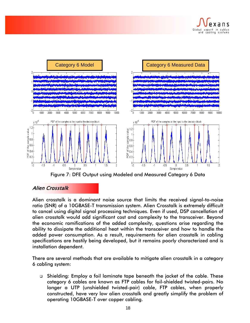



Figure 7: DFE Output using Modeled and Measured Category 6 Data

# Alien Crosstalk

Alien crosstalk is a dominant noise source that limits the received signal-to-noise ratio (SNR) of a 10GBASE-T transmission system. Alien Crosstalk is extremely difficult to cancel using digital signal processing techniques. Even if used, DSP cancellation of alien crosstalk would add significant cost and complexity to the transceiver. Beyond the economic ramifications of the added complexity, questions arise regarding the ability to dissipate the additional heat within the transceiver and how to handle the added power consumption. As a result, requirements for alien crosstalk in cabling specifications are hastily being developed, but it remains poorly characterized and is installation dependent.

There are several methods that are available to mitigate alien crosstalk in a category 6 cabling system:

 Shielding: Employ a foil laminate tape beneath the jacket of the cable. These category 6 cables are known as FTP cables for foil-shielded twisted-pairs. No longer a UTP (unshielded twisted-pair) cable, FTP cables, when properly constructed, have very low alien crosstalk and greatly simplify the problem of operating 10GBASE-T over copper cabling.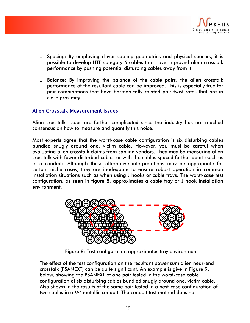

- □ Spacing: By employing clever cabling geometries and physical spacers, it is possible to develop UTP category 6 cables that have improved alien crosstalk performance by pushing potential disturbing cables away from it.
- Balance: By improving the balance of the cable pairs, the alien crosstalk performance of the resultant cable can be improved. This is especially true for pair combinations that have harmonically related pair twist rates that are in close proximity.

# Alien Crosstalk Measurement Issues

Alien crosstalk issues are further complicated since the industry has not reached consensus on how to measure and quantify this noise.

Most experts agree that the worst-case cable configuration is six disturbing cables bundled snugly around one, victim cable. However, you must be careful when evaluating alien crosstalk claims from cabling vendors. They may be measuring alien crosstalk with fewer disturbed cables or with the cables spaced farther apart (such as in a conduit). Although these alternative interpretations may be appropriate for certain niche cases, they are inadequate to ensure robust operation in common installation situations such as when using J hooks or cable trays. The worst-case test configuration, as seen in figure 8, approximates a cable tray or J hook installation environment.



Figure 8: Test configuration approximates tray environment

The effect of the test configuration on the resultant power sum alien near-end crosstalk (PSANEXT) can be quite significant. An example is give in Figure 9, below, showing the PSANEXT of one pair tested in the worst-case cable configuration of six disturbing cables bundled snugly around one, victim cable. Also shown in the results of the same pair tested in a best-case configuration of two cables in a ½" metallic conduit. The conduit test method does not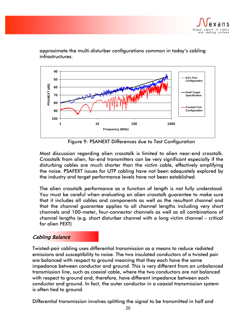



approximate the multi-disturber configurations common in today's cabling infrastructures.

Figure 9: PSANEXT Differences due to Test Configuration

Most discussion regarding alien crosstalk is limited to alien near-end crosstalk. Crosstalk from alien, far-end transmitters can be very significant especially if the disturbing cables are much shorter than the victim cable, effectively amplifying the noise. PSAFEXT issues for UTP cabling have not been adequately explored by the industry and target performance levels have not been established.

The alien crosstalk performance as a function of length is not fully understood. You must be careful when evaluating an alien crosstalk guarantee to make sure that it includes all cables and components as well as the resultant channel and that the channel guarantee applies to all channel lengths including very short channels and 100-meter, four-connector channels as well as all combinations of channel lengths (e.g. short disturber channel with a long victim channel – critical for alien FEXT)

# Cabling Balance

Twisted-pair cabling uses differential transmission as a means to reduce radiated emissions and susceptibility to noise. The two insulated conductors of a twisted pair are balanced with respect to ground meaning that they each have the same impedance between conductor and ground. This is very different from an unbalanced transmission line, such as coaxial cable, where the two conductors are not balanced with respect to ground and, therefore, have different impedance between each conductor and ground. In fact, the outer conductor in a coaxial transmission system is often tied to ground.

Differential transmission involves splitting the signal to be transmitted in half and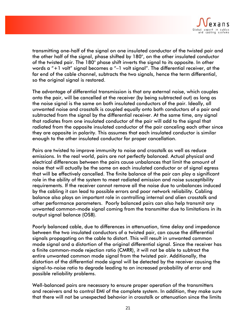

transmitting one-half of the signal on one insulated conductor of the twisted pair and the other half of the signal, phase shifted by 180°, on the other insulated conductor of the twisted pair. The 180° phase shift inverts the signal to its opposite. In other words a "+1 volt" signal becomes a "–1 volt signal". The differential receiver, at the far end of the cable channel, subtracts the two signals, hence the term differential, so the original signal is restored.

The advantage of differential transmission is that any external noise, which couples onto the pair, will be cancelled at the receiver (by being subtracted out) as long as the noise signal is the same on both insulated conductors of the pair. Ideally, all unwanted noise and crosstalk is coupled equally onto both conductors of a pair and subtracted from the signal by the differential receiver. At the same time, any signal that radiates from one insulated conductor of the pair will add to the signal that radiated from the opposite insulated conductor of the pair canceling each other since they are opposite in polarity. This assumes that each insulated conductor is similar enough to the other insulated conductor for proper cancellation.

Pairs are twisted to improve immunity to noise and crosstalk as well as reduce emissions. In the real world, pairs are not perfectly balanced. Actual physical and electrical differences between the pairs cause unbalances that limit the amount of noise that will actually be the same on each insulated conductor or of signal egress that will be effectively cancelled. The finite balance of the pair can play a significant role in the ability of the system to meet radiated emission and noise susceptibility requirements. If the receiver cannot remove all the noise due to unbalances induced by the cabling it can lead to possible errors and poor network reliability. Cabling balance also plays an important role in controlling internal and alien crosstalk and other performance parameters. Poorly balanced pairs can also help transmit any unwanted common-mode signal coming from the transmitter due to limitations in its output signal balance (OSB).

Poorly balanced cable, due to differences in attenuation, time delay and impedance between the two insulated conductors of a twisted pair, can cause the differential signals propagating on the cable to distort. This will result in unwanted common mode signal and a distortion of the original differential signal. Since the receiver has a finite common-mode rejection ratio (CMRR), it will not be able to subtract the entire unwanted common mode signal from the twisted pair. Additionally, the distortion of the differential mode signal will be detected by the receiver causing the signal-to-noise ratio to degrade leading to an increased probability of error and possible reliability problems.

Well-balanced pairs are necessary to ensure proper operation of the transmitters and receivers and to control EMI of the complete system. In addition, they make sure that there will not be unexpected behavior in crosstalk or attenuation since the limits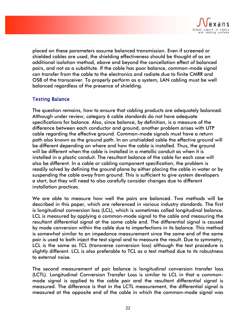

placed on these parameters assume balanced transmission. Even if screened or shielded cables are used, the shielding effectiveness should be thought of as an additional isolation method, above and beyond the cancellation effect of balanced pairs, and not as a substitute. If the cable has poor balance, common-mode signal can transfer from the cable to the electronics and radiate due to finite CMRR and OSB of the transceiver. To properly perform as a system, LAN cabling must be well balanced regardless of the presence of shielding.

# Testing Balance

The question remains, how to ensure that cabling products are adequately balanced. Although under review, category 6 cable standards do not have adequate specifications for balance. Also, since balance, by definition, is a measure of the difference between each conductor and ground, another problem arises with UTP cable regarding the effective ground. Common-mode signals must have a return path also known as the ground path. In an unshielded cable the effective ground will be different depending on where and how the cable is installed. Thus, the ground will be different when the cable is installed in a metallic conduit as when it is installed in a plastic conduit. The resultant balance of the cable for each case will also be different. In a cable or cabling component specification, the problem is readily solved by defining the ground plane by either placing the cable in water or by suspending the cable away from ground. This is sufficient to give system developers a start, but they will need to also carefully consider changes due to different installation practices.

We are able to measure how well the pairs are balanced. Two methods will be described in this paper, which are referenced in various industry standards. The first is longitudinal conversion loss (LCL), which is sometimes called longitudinal balance. LCL is measured by applying a common-mode signal to the cable and measuring the resultant differential signal at the same cable end. The differential signal is caused by mode conversion within the cable due to imperfections in its balance. This method is somewhat similar to an impedance measurement since the same end of the same pair is used to both inject the test signal and to measure the result. Due to symmetry, LCL is the same as TCL (transverse conversion loss) although the test procedure is slightly different. LCL is also preferable to TCL as a test method due to its robustness to external noise.

The second measurement of pair balance is longitudinal conversion transfer loss (LCTL). Longitudinal Conversion Transfer Loss is similar to LCL in that a commonmode signal is applied to the cable pair and the resultant differential signal is measured. The difference is that in the LCTL measurement, the differential signal is measured at the opposite end of the cable in which the common-mode signal was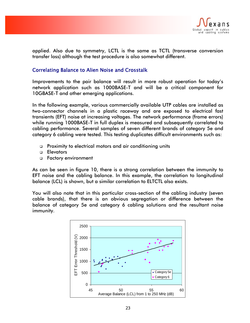

applied. Also due to symmetry, LCTL is the same as TCTL (transverse conversion transfer loss) although the test procedure is also somewhat different.

# Correlating Balance to Alien Noise and Crosstalk

Improvements to the pair balance will result in more robust operation for today's network application such as 1000BASE-T and will be a critical component for 10GBASE-T and other emerging applications.

In the following example, various commercially available UTP cables are installed as two-connector channels in a plastic raceway and are exposed to electrical fast transients (EFT) noise at increasing voltages. The network performance (frame errors) while running 1000BASE-T in full duplex is measured and subsequently correlated to cabling performance. Several samples of seven different brands of category 5e and category 6 cabling were tested. This testing duplicates difficult environments such as:

- Proximity to electrical motors and air conditioning units
- **D** Elevators
- Factory environment

As can be seen in figure 10, there is a strong correlation between the immunity to EFT noise and the cabling balance. In this example, the correlation to longitudinal balance (LCL) is shown, but a similar correlation to ELTCTL also exists.

You will also note that in this particular cross-section of the cabling industry (seven cable brands), that there is an obvious segregation or difference between the balance of category 5e and category 6 cabling solutions and the resultant noise immunity.

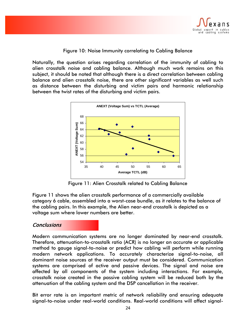

### Figure 10: Noise Immunity correlating to Cabling Balance

Naturally, the question arises regarding correlation of the immunity of cabling to alien crosstalk noise and cabling balance. Although much work remains on this subject, it should be noted that although there is a direct correlation between cabling balance and alien crosstalk noise, there are other significant variables as well such as distance between the disturbing and victim pairs and harmonic relationship between the twist rates of the disturbing and victim pairs.



Figure 11: Alien Crosstalk related to Cabling Balance

Figure 11 shows the alien crosstalk performance of a commercially available category 6 cable, assembled into a worst-case bundle, as it relates to the balance of the cabling pairs. In this example, the Alien near-end crosstalk is depicted as a voltage sum where lower numbers are better.

# **Conclusions**

Modern communication systems are no longer dominated by near-end crosstalk. Therefore, attenuation-to-crosstalk ratio (ACR) is no longer an accurate or applicable method to gauge signal-to-noise or predict how cabling will perform while running modern network applications. To accurately characterize signal-to-noise, all dominant noise sources at the receiver output must be considered. Communication systems are comprised of active and passive devices. The signal and noise are affected by all components of the system including interactions. For example, crosstalk noise created in the passive cabling system will be reduced both by the attenuation of the cabling system and the DSP cancellation in the receiver.

Bit error rate is an important metric of network reliability and ensuring adequate signal-to-noise under real-world conditions. Real-world conditions will affect signal-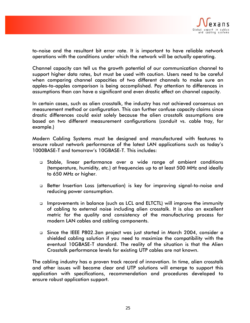

to-noise and the resultant bit error rate. It is important to have reliable network operations with the conditions under which the network will be actually operating.

Channel capacity can tell us the growth potential of our communication channel to support higher data rates, but must be used with caution. Users need to be careful when comparing channel capacities of two different channels to make sure an apples-to-apples comparison is being accomplished. Pay attention to differences in assumptions than can have a significant and even drastic effect on channel capacity.

In certain cases, such as alien crosstalk, the industry has not achieved consensus on measurement method or configuration. This can further confuse capacity claims since drastic differences could exist solely because the alien crosstalk assumptions are based on two different measurement configurations (conduit vs. cable tray, for example.)

Modern Cabling Systems must be designed and manufactured with features to ensure robust network performance of the latest LAN applications such as today's 1000BASE-T and tomorrow's 10GBASE-T. This includes:

- Stable, linear performance over a wide range of ambient conditions (temperature, humidity, etc.) at frequencies up to at least 500 MHz and ideally to 650 MHz or higher.
- Better Insertion Loss (attenuation) is key for improving signal-to-noise and reducing power consumption.
- Improvements in balance (such as LCL and ELTCTL) will improve the immunity of cabling to external noise including alien crosstalk. It is also an excellent metric for the quality and consistency of the manufacturing process for modern LAN cables and cabling components.
- Since the IEEE P802.3an project was just started in March 2004, consider a shielded cabling solution if you need to maximize the compatibility with the eventual 10GBASE-T standard. The reality of the situation is that the Alien Crosstalk performance levels for existing UTP cables are not known.

The cabling industry has a proven track record of innovation. In time, alien crosstalk and other issues will become clear and UTP solutions will emerge to support this application with specifications, recommendation and procedures developed to ensure robust application support.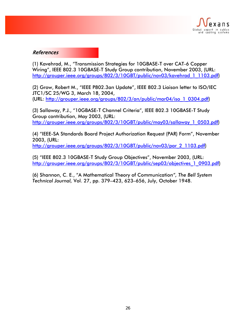

# References

(1) Kavehrad, M., "Transmission Strategies for 10GBASE-T over CAT-6 Copper Wiring", IEEE 802.3 10GBASE-T Study Group contribution, November 2003, (URL: http://grouper.ieee.org/groups/802/3/10GBT/public/nov03/kavehrad\_1\_1103.pdf)

(2) Grow, Robert M., "IEEE P802.3an Update", IEEE 802.3 Liaison letter to ISO/IEC JTC1/SC 25/WG 3, March 18, 2004, (URL: http://grouper.ieee.org/groups/802/3/an/public/mar04/iso\_1\_0304.pdf)

(3) Sallaway, P.J., "10GBASE-T Channel Criteria", IEEE 802.3 10GBASE-T Study Group contribution, May 2003, (URL: http://grouper.ieee.org/groups/802/3/10GBT/public/may03/sallaway\_1\_0503.pdf)

(4) "IEEE-SA Standards Board Project Authorization Request (PAR) Form", November 2003, (URL: http://grouper.ieee.org/groups/802/3/10GBT/public/nov03/par\_2\_1103.pdf)

(5) "IEEE 802.3 10GBASE-T Study Group Objectives", November 2003, (URL:

http://grouper.ieee.org/groups/802/3/10GBT/public/sep03/objectives\_1\_0903.pdf)

(6) Shannon, C. E., "A Mathematical Theory of Communication*", The Bell System Technical Journal,* Vol. 27, pp. 379–423, 623–656, July, October 1948.